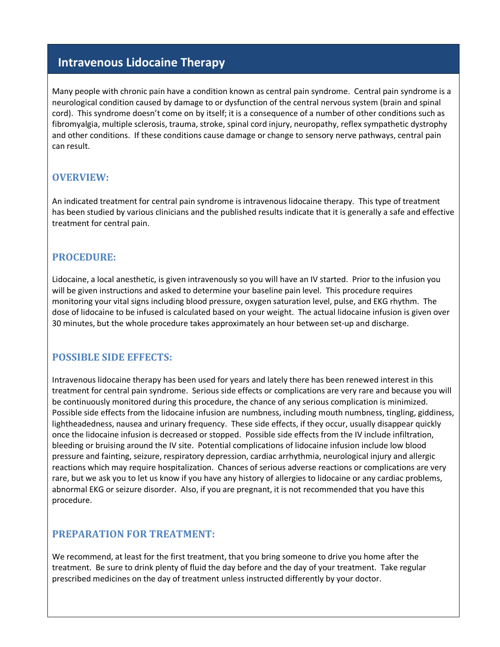# **Intravenous Lidocaine Therapy**

Many people with chronic pain have a condition known as central pain syndrome. Central pain syndrome is a neurological condition caused by damage to or dysfunction of the central nervous system (brain and spinal cord). This syndrome doesn't come on by itself; it is a consequence of a number of other conditions such as fibromyalgia, multiple sclerosis, trauma, stroke, spinal cord injury, neuropathy, reflex sympathetic dystrophy and other conditions. If these conditions cause damage or change to sensory nerve pathways, central pain can result.

## **OVERVIEW:**

An indicated treatment for central pain syndrome is intravenous lidocaine therapy. This type of treatment has been studied by various clinicians and the published results indicate that it is generally a safe and effective treatment for central pain.

## **PROCEDURE:**

Lidocaine, a local anesthetic, is given intravenously so you will have an IV started. Prior to the infusion you will be given instructions and asked to determine your baseline pain level. This procedure requires monitoring your vital signs including blood pressure, oxygen saturation level, pulse, and EKG rhythm. The dose of lidocaine to be infused is calculated based on your weight. The actual lidocaine infusion is given over 30 minutes, but the whole procedure takes approximately an hour between set-up and discharge.

#### **POSSIBLE SIDE EFFECTS:**

Intravenous lidocaine therapy has been used for years and lately there has been renewed interest in this treatment for central pain syndrome. Serious side effects or complications are very rare and because you will be continuously monitored during this procedure, the chance of any serious complication is minimized. Possible side effects from the lidocaine infusion are numbness, including mouth numbness, tingling, giddiness, lightheadedness, nausea and urinary frequency. These side effects, if they occur, usually disappear quickly once the lidocaine infusion is decreased or stopped. Possible side effects from the IV include infiltration, bleeding or bruising around the IV site. Potential complications of lidocaine infusion include low blood pressure and fainting, seizure, respiratory depression, cardiac arrhythmia, neurological injury and allergic reactions which may require hospitalization. Chances of serious adverse reactions or complications are very rare, but we ask you to let us know if you have any history of allergies to lidocaine or any cardiac problems, abnormal EKG or seizure disorder. Also, if you are pregnant, it is not recommended that you have this procedure.

#### **PREPARATION FOR TREATMENT:**

We recommend, at least for the first treatment, that you bring someone to drive you home after the treatment. Be sure to drink plenty of fluid the day before and the day of your treatment. Take regular prescribed medicines on the day of treatment unless instructed differently by your doctor.